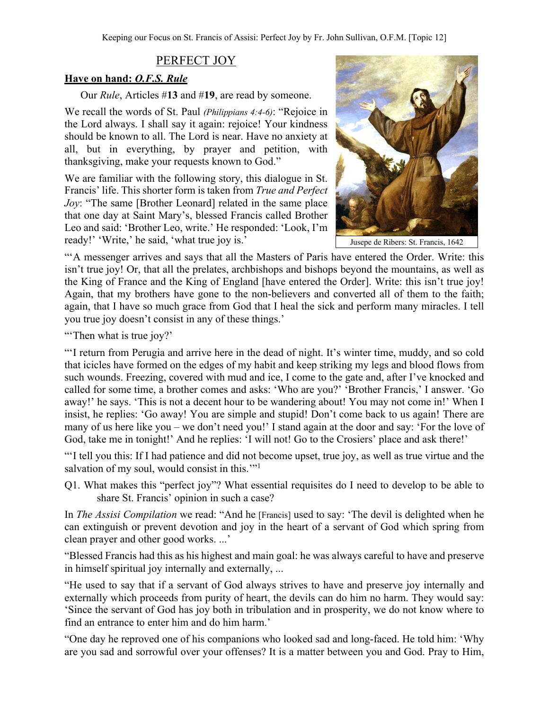## PERFECT JOY

## **Have on hand:** *O.F.S. Rule*

Our *Rule*, Articles #**13** and #**19**, are read by someone.

We recall the words of St. Paul *(Philippians 4:4-6)*: "Rejoice in the Lord always. I shall say it again: rejoice! Your kindness should be known to all. The Lord is near. Have no anxiety at all, but in everything, by prayer and petition, with thanksgiving, make your requests known to God."

We are familiar with the following story, this dialogue in St. Francis' life. This shorter form is taken from *True and Perfect Joy*: "The same [Brother Leonard] related in the same place that one day at Saint Mary's, blessed Francis called Brother Leo and said: 'Brother Leo, write.' He responded: 'Look, I'm ready!' 'Write,' he said, 'what true joy is.'



Jusepe de Ribers: St. Francis, 1642

"'A messenger arrives and says that all the Masters of Paris have entered the Order. Write: this isn't true joy! Or, that all the prelates, archbishops and bishops beyond the mountains, as well as the King of France and the King of England [have entered the Order]. Write: this isn't true joy! Again, that my brothers have gone to the non-believers and converted all of them to the faith; again, that I have so much grace from God that I heal the sick and perform many miracles. I tell you true joy doesn't consist in any of these things.'

"Then what is true joy?"

"'I return from Perugia and arrive here in the dead of night. It's winter time, muddy, and so cold that icicles have formed on the edges of my habit and keep striking my legs and blood flows from such wounds. Freezing, covered with mud and ice, I come to the gate and, after I've knocked and called for some time, a brother comes and asks: 'Who are you?' 'Brother Francis,' I answer. 'Go away!' he says. 'This is not a decent hour to be wandering about! You may not come in!' When I insist, he replies: 'Go away! You are simple and stupid! Don't come back to us again! There are many of us here like you – we don't need you!' I stand again at the door and say: 'For the love of God, take me in tonight!' And he replies: 'I will not! Go to the Crosiers' place and ask there!'

"'I tell you this: If I had patience and did not become upset, true joy, as well as true virtue and the salvation of my soul, would consist in this."<sup>1</sup>

Q1. What makes this "perfect joy"? What essential requisites do I need to develop to be able to share St. Francis' opinion in such a case?

In *The Assisi Compilation* we read: "And he [Francis] used to say: 'The devil is delighted when he can extinguish or prevent devotion and joy in the heart of a servant of God which spring from clean prayer and other good works. ...'

"Blessed Francis had this as his highest and main goal: he was always careful to have and preserve in himself spiritual joy internally and externally, ...

"He used to say that if a servant of God always strives to have and preserve joy internally and externally which proceeds from purity of heart, the devils can do him no harm. They would say: 'Since the servant of God has joy both in tribulation and in prosperity, we do not know where to find an entrance to enter him and do him harm.'

"One day he reproved one of his companions who looked sad and long-faced. He told him: 'Why are you sad and sorrowful over your offenses? It is a matter between you and God. Pray to Him,